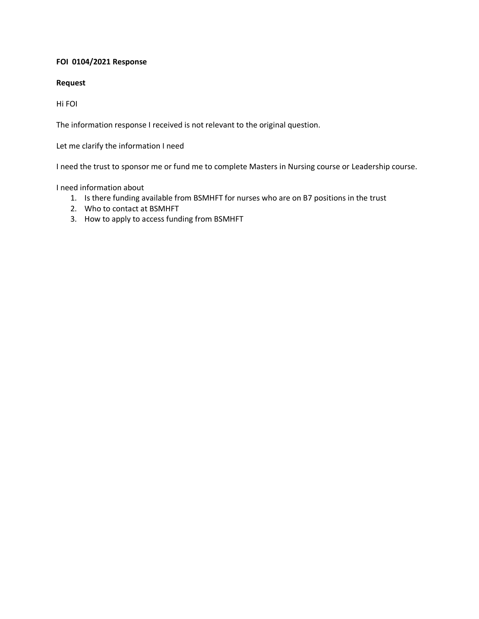## **FOI 0104/2021 Response**

## **Request**

Hi FOI

The information response I received is not relevant to the original question.

Let me clarify the information I need

I need the trust to sponsor me or fund me to complete Masters in Nursing course or Leadership course.

I need information about

- 1. Is there funding available from BSMHFT for nurses who are on B7 positions in the trust
- 2. Who to contact at BSMHFT
- 3. How to apply to access funding from BSMHFT